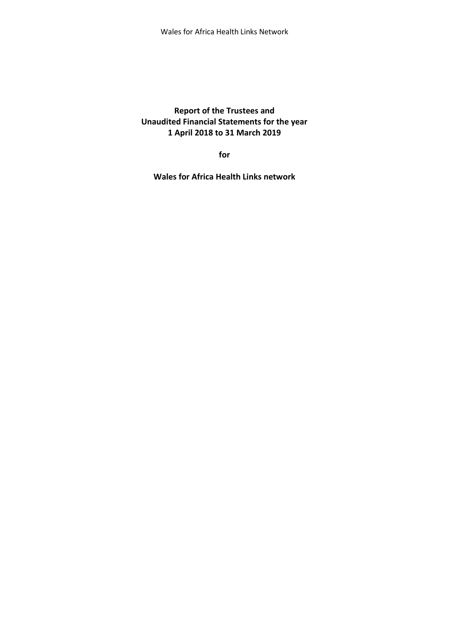**Report of the Trustees and Unaudited Financial Statements for the year 1 April 2018 to 31 March 2019**

**for**

**Wales for Africa Health Links network**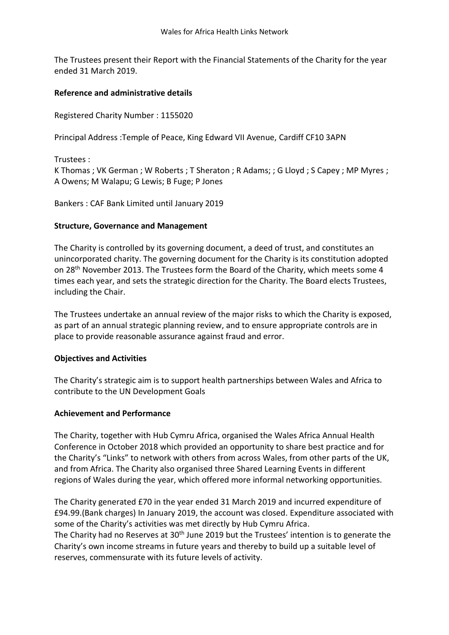The Trustees present their Report with the Financial Statements of the Charity for the year ended 31 March 2019.

## **Reference and administrative details**

Registered Charity Number : 1155020

Principal Address :Temple of Peace, King Edward VII Avenue, Cardiff CF10 3APN

Trustees :

K Thomas ; VK German ; W Roberts ; T Sheraton ; R Adams; ; G Lloyd ; S Capey ; MP Myres ; A Owens; M Walapu; G Lewis; B Fuge; P Jones

Bankers : CAF Bank Limited until January 2019

### **Structure, Governance and Management**

The Charity is controlled by its governing document, a deed of trust, and constitutes an unincorporated charity. The governing document for the Charity is its constitution adopted on 28th November 2013. The Trustees form the Board of the Charity, which meets some 4 times each year, and sets the strategic direction for the Charity. The Board elects Trustees, including the Chair.

The Trustees undertake an annual review of the major risks to which the Charity is exposed, as part of an annual strategic planning review, and to ensure appropriate controls are in place to provide reasonable assurance against fraud and error.

### **Objectives and Activities**

The Charity's strategic aim is to support health partnerships between Wales and Africa to contribute to the UN Development Goals

### **Achievement and Performance**

The Charity, together with Hub Cymru Africa, organised the Wales Africa Annual Health Conference in October 2018 which provided an opportunity to share best practice and for the Charity's "Links" to network with others from across Wales, from other parts of the UK, and from Africa. The Charity also organised three Shared Learning Events in different regions of Wales during the year, which offered more informal networking opportunities.

The Charity generated £70 in the year ended 31 March 2019 and incurred expenditure of £94.99.(Bank charges) In January 2019, the account was closed. Expenditure associated with some of the Charity's activities was met directly by Hub Cymru Africa.

The Charity had no Reserves at 30<sup>th</sup> June 2019 but the Trustees' intention is to generate the Charity's own income streams in future years and thereby to build up a suitable level of reserves, commensurate with its future levels of activity.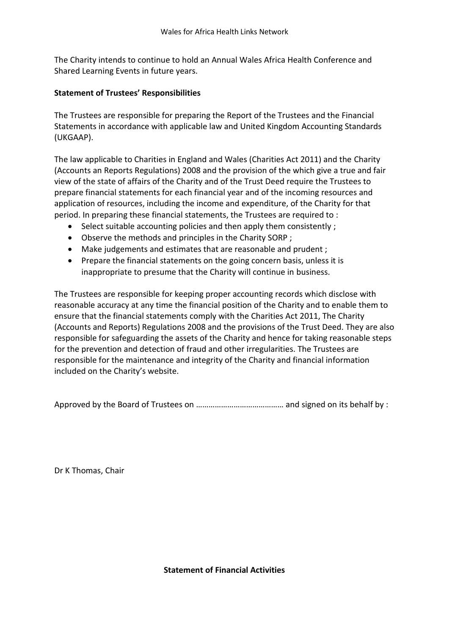The Charity intends to continue to hold an Annual Wales Africa Health Conference and Shared Learning Events in future years.

## **Statement of Trustees' Responsibilities**

The Trustees are responsible for preparing the Report of the Trustees and the Financial Statements in accordance with applicable law and United Kingdom Accounting Standards (UKGAAP).

The law applicable to Charities in England and Wales (Charities Act 2011) and the Charity (Accounts an Reports Regulations) 2008 and the provision of the which give a true and fair view of the state of affairs of the Charity and of the Trust Deed require the Trustees to prepare financial statements for each financial year and of the incoming resources and application of resources, including the income and expenditure, of the Charity for that period. In preparing these financial statements, the Trustees are required to :

- Select suitable accounting policies and then apply them consistently;
- Observe the methods and principles in the Charity SORP ;
- Make judgements and estimates that are reasonable and prudent ;
- Prepare the financial statements on the going concern basis, unless it is inappropriate to presume that the Charity will continue in business.

The Trustees are responsible for keeping proper accounting records which disclose with reasonable accuracy at any time the financial position of the Charity and to enable them to ensure that the financial statements comply with the Charities Act 2011, The Charity (Accounts and Reports) Regulations 2008 and the provisions of the Trust Deed. They are also responsible for safeguarding the assets of the Charity and hence for taking reasonable steps for the prevention and detection of fraud and other irregularities. The Trustees are responsible for the maintenance and integrity of the Charity and financial information included on the Charity's website.

Approved by the Board of Trustees on …………………………………… and signed on its behalf by :

Dr K Thomas, Chair

**Statement of Financial Activities**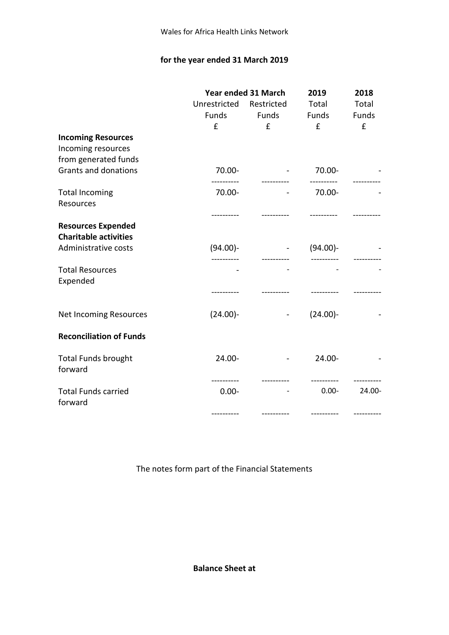# **for the year ended 31 March 2019**

|                                |                         | Year ended 31 March<br>2019   |             | 2018   |
|--------------------------------|-------------------------|-------------------------------|-------------|--------|
|                                | Unrestricted Restricted |                               | Total       | Total  |
|                                |                         | Funds Funds Funds             |             | Funds  |
|                                | $f$ and $f$             | f                             | $f$ and $f$ | £      |
| <b>Incoming Resources</b>      |                         |                               |             |        |
| Incoming resources             |                         |                               |             |        |
| from generated funds           |                         |                               |             |        |
| <b>Grants and donations</b>    | 70.00-                  |                               | $-70.00-$   |        |
|                                |                         |                               |             |        |
| <b>Total Incoming</b>          | 70.00-                  |                               | $-70.00-$   |        |
| Resources                      |                         |                               |             |        |
|                                |                         |                               |             |        |
| <b>Resources Expended</b>      |                         |                               |             |        |
| <b>Charitable activities</b>   |                         |                               |             |        |
| Administrative costs           | $(94.00)$ -             |                               | (94.00)     |        |
|                                |                         |                               |             |        |
| <b>Total Resources</b>         |                         |                               |             |        |
| Expended                       |                         |                               |             |        |
|                                |                         |                               |             |        |
|                                |                         |                               |             |        |
| <b>Net Incoming Resources</b>  | $(24.00)$ -             | and the state of the state of | $(24.00) -$ |        |
|                                |                         |                               |             |        |
| <b>Reconciliation of Funds</b> |                         |                               |             |        |
|                                |                         |                               |             |        |
| <b>Total Funds brought</b>     | 24.00-                  | $\blacksquare$                | 24.00-      |        |
| forward                        |                         |                               |             |        |
|                                |                         |                               |             |        |
| <b>Total Funds carried</b>     | $0.00 -$                |                               | $0.00 -$    | 24.00- |
| forward                        |                         |                               |             |        |
|                                |                         |                               |             |        |

The notes form part of the Financial Statements

**Balance Sheet at**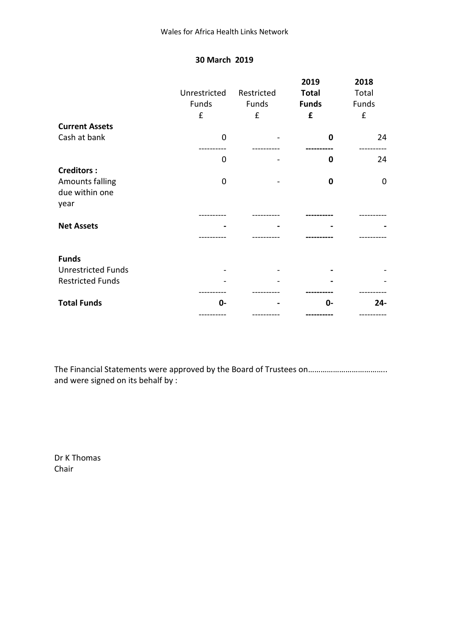## **30 March 2019**

|                                                                       | Unrestricted<br>Funds<br>£ | Restricted<br>Funds<br>£ | 2019<br><b>Total</b><br><b>Funds</b><br>£ | 2018<br>Total<br>Funds<br>£ |
|-----------------------------------------------------------------------|----------------------------|--------------------------|-------------------------------------------|-----------------------------|
| <b>Current Assets</b>                                                 |                            |                          |                                           |                             |
| Cash at bank                                                          | $\mathbf 0$                |                          | $\mathbf 0$                               | 24                          |
|                                                                       | 0                          |                          | 0                                         | 24                          |
| <b>Creditors:</b><br><b>Amounts falling</b><br>due within one<br>year | 0                          |                          | $\mathbf 0$                               | 0                           |
| <b>Net Assets</b>                                                     |                            |                          |                                           |                             |
|                                                                       |                            |                          |                                           |                             |
| <b>Funds</b><br><b>Unrestricted Funds</b><br><b>Restricted Funds</b>  |                            |                          |                                           |                             |
| <b>Total Funds</b>                                                    | 0-                         |                          | $0 -$                                     | $24 -$                      |
|                                                                       |                            |                          |                                           |                             |

The Financial Statements were approved by the Board of Trustees on……………………………….. and were signed on its behalf by :

Dr K Thomas Chair